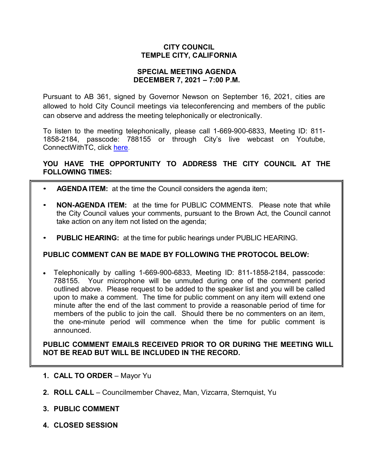### **CITY COUNCIL TEMPLE CITY, CALIFORNIA**

#### **SPECIAL MEETING AGENDA DECEMBER 7, 2021 – 7:00 P.M.**

Pursuant to AB 361, signed by Governor Newson on September 16, 2021, cities are allowed to hold City Council meetings via teleconferencing and members of the public can observe and address the meeting telephonically or electronically.

To listen to the meeting telephonically, please call 1-669-900-6833, Meeting ID: 811- 1858-2184, passcode: 788155 or through City's live webcast on Youtube, ConnectWithTC, click [here.](https://www.ci.temple-city.ca.us/516/Meeting-Webcast)

## **YOU HAVE THE OPPORTUNITY TO ADDRESS THE CITY COUNCIL AT THE FOLLOWING TIMES:**

- **AGENDA ITEM:** at the time the Council considers the agenda item;
- **NON-AGENDA ITEM:** at the time for PUBLIC COMMENTS. Please note that while the City Council values your comments, pursuant to the Brown Act, the Council cannot take action on any item not listed on the agenda;
- **PUBLIC HEARING:** at the time for public hearings under PUBLIC HEARING.

### **PUBLIC COMMENT CAN BE MADE BY FOLLOWING THE PROTOCOL BELOW:**

• Telephonically by calling 1-669-900-6833, Meeting ID: 811-1858-2184, passcode: 788155. Your microphone will be unmuted during one of the comment period outlined above. Please request to be added to the speaker list and you will be called upon to make a comment. The time for public comment on any item will extend one minute after the end of the last comment to provide a reasonable period of time for members of the public to join the call. Should there be no commenters on an item, the one-minute period will commence when the time for public comment is announced.

**PUBLIC COMMENT EMAILS RECEIVED PRIOR TO OR DURING THE MEETING WILL NOT BE READ BUT WILL BE INCLUDED IN THE RECORD.**

- **1. CALL TO ORDER**  Mayor Yu
- **2. ROLL CALL**  Councilmember Chavez, Man, Vizcarra, Sternquist, Yu
- **3. PUBLIC COMMENT**
- **4. CLOSED SESSION**